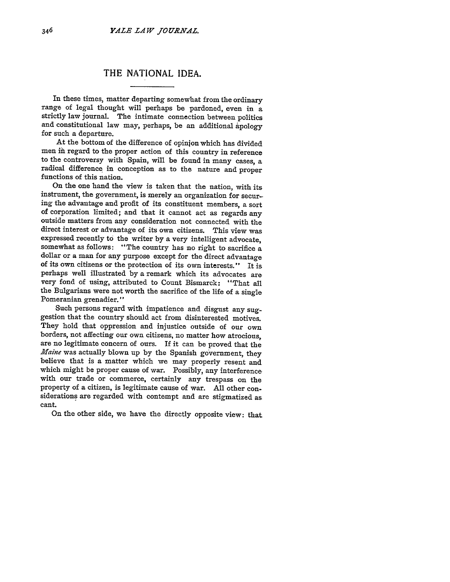## THE **NATIONAL IDEA.**

In these times, matter departing somewhat from the ordinary range of legal thought will perhaps be pardoned, even in a strictly law journal. The intimate connection between politics and constitutional law may, perhaps, be an additional apology for such a departure.

At the bottom of the difference of opinion which has divided men in regard to the proper action of this country in reference to the controversy with Spain, will be found in many cases, a radical difference in conception as to the nature and proper functions of this nation.

On the one hand the view is taken that the nation, with its instrument, the government, is merely an organization for securing the advantage and profit of its constituent members, a sort of corporation limited; and that it cannot act as regards any outside matters from any consideration not connected with the direct interest or advantage of its own citizens. This view was expressed recently to the writer by a very intelligent advocate, somewhat as follows: "The country has no right to sacrifice a dollar or a man for any purpose except for the direct advantage of its own citizens or the protection of its own interests." It is perhaps well illustrated by a remark which its advocates are very fond of using, attributed to Count Bismarck: "That all the Bulgarians were not worth the sacrifice of the life of a single Pomeranian grenadier."

Such persons regard with impatience and disgust any suggestion that the country should act from disinterested motives. They hold that oppression and injustice outside of our own borders, not affecting our own citizens, no matter how atrocious, are no legitimate concern of ours. If it can be proved that the *Maine* was actually blown up by the Spanish government, they believe that is a matter which we may properly resent and which might be proper cause of war. Possibly, any interference with our trade or commerce, certainly any trespass on the property of a citizen, is legitimate cause of war. **All** other considerations are regarded with contempt and are stigmatized as cant.

On the other side, we have the directly opposite view: that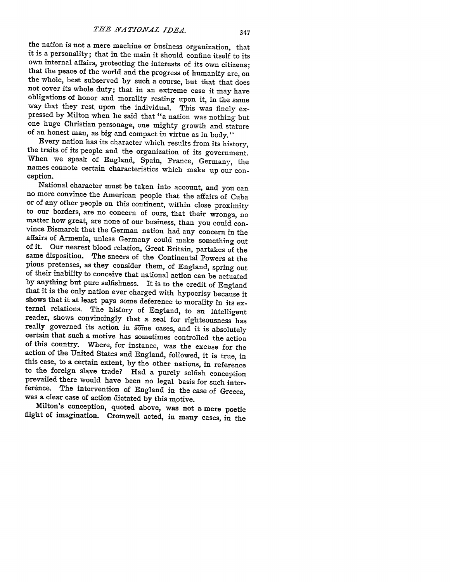the nation is not a mere machine or business organization, that it is a personality; that in the main it should confine itself to its own internal affairs, protecting the interests of its own citizens; that the peace of the world and the progress of humanity are, on the whole, best subserved by such a course, but that that does not cover its whole duty; that in an extreme case it may have obligations of honor and morality resting upon it, in the same way that they rest upon the individual. This was finely expressed by Milton when he said that "a nation was nothing but one huge Christian personage, one mighty growth and stature of an honest man, as big and compact in virtue as in body."

Every nation has its character which results from its history, the traits of its people and the organization of its government. When we speak of England, Spain, France, Germany, the names connote certain characteristics which make up our conception.

National character must be taken into account, and you can no more convince the American people that the affairs of Cuba or of any other people on this continent, within close proximity to our borders, are no concern of ours, that their wrongs, no matter how great, are none of our business, than you could convince Bismarck that the German nation had any concern in the affairs of Armenia, unless Germany could make something out of it. Our nearest blood relation, Great Britain, partakes of the same disposition. The sneers of the Continental Powers at the pious pretenses, as they consider them, of England, spring out of their inability to conceive that national action can be actuated by anything but pure selfishness. It is to the credit of England that it is the only nation ever charged with hypocrisy because it shows that it at least pays some deference to morality in its external relations. The history of England, to an intelligent reader, shows convincingly that a zeal for righteousness has really governed its action in some cases, and it is absolutely certain that such a motive has sometimes controlled the action of this country. Where, for instance, was the excuse for the action of the United States and England, followed, it is true, in this case, to a certain extent, by the other nations, in reference to the foreign slave trade? Had a purely selfish conception prevailed there would have been no legal basis for such interference. The intervention of England in the case of Greece, was a clear case of action dictated by this motive.

Milton's conception, quoted above, was not a mere poetic flight of imagination. Cromwell acted, in many cases, in the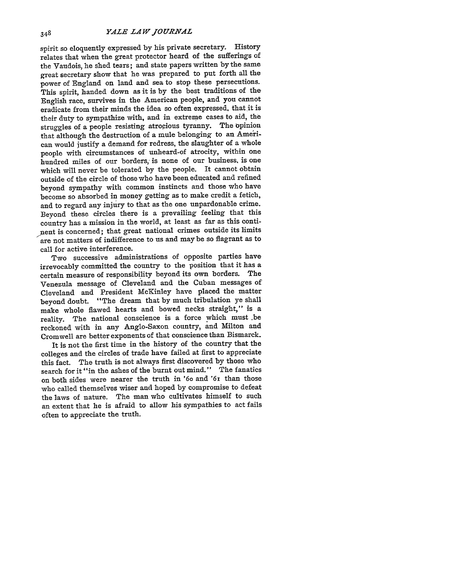spirit so eloquently expressed **by** his private secretary. History relates that when the great protector heard of the sufferings of the Vaudois, he shed tears; and state papers written by the same great secretary show that he was prepared to put forth all the power of England on land and sea to stop these persecutions. This spirit, handed down as it is by the best traditions of the English race, survives in the American people, and you cannot eradicate from their minds the idea so often expressed, that it is their duty to sympathize with, and in extreme cases to aid, the struggles of a people resisting atrocious tyranny. The opinion that although the destruction of a mule belonging to an American would justify a demand for redress, the slaughter of a whole people with circumstances of unheard-of atrocity, within one hundred miles of our borders, is none of our business, is one which will never be tolerated by the people. It cannot obtain outside of the circle of those who have been educated and refined beyond sympathy with common instincts and those who have become so absorbed in money getting as to make credit a fetich, and to regard any injury to that as the one unpardonable crime. Beyond these circles there is a prevailing feeling that this country has a mission in the world, at least as far as this continent is concerned; that great national crimes outside its limits are not matters of indifference to us and maybe so flagrant as to call for active interference.

Two successive administrations of opposite parties have irrevocably committed the country to the position that it has a certain measure of responsibility beyond its own borders. The Venezula message of Cleveland and the Cuban messages of Cleveland and President McKinley have placed the matter beyond doubt. "The dream that by much tribulation ye shall make whole flawed hearts and bowed necks straight," is a reality. The national conscience is a force which must .be reckoned with in any Anglo-Saxon country, and Milton and Cromwell are better exponents of that conscience than Bismarck.

It is not the first time in the history of the country that the colleges and the circles of trade have failed at first to appreciate this fact. The truth is not always first discovered by those who search for it "in the ashes of the burnt out mind." The fanatics on both sides were nearer the truth in '6o and '61 than those who called themselves wiser and hoped by compromise to defeat the laws of nature. The man who cultivates himself to such an extent that he is afraid to allow his sympathies to act fails often to appreciate the truth.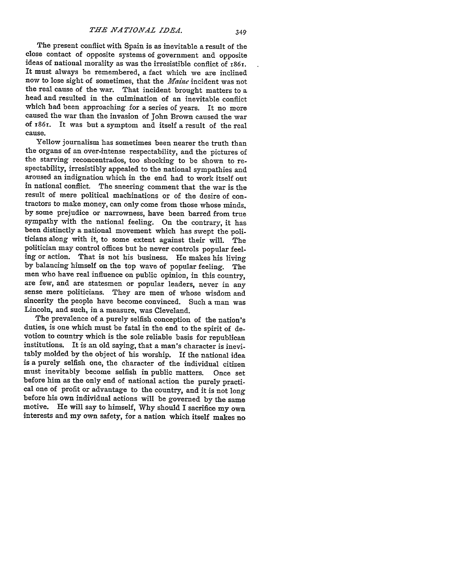The present conflict with Spain is as inevitable a result of the close contact of opposite systems of government and opposite ideas of national morality as was the irresistible conflict of i861. It must always be remembered, a fact which we are inclined now to lose sight of sometimes, that the *Maine* incident was not the real cause of the war. That incident brought matters to a head and resulted in the culmination of an inevitable conflict which bad been approaching for a series of years. It no more caused the war than the invasion of John Brown caused the war of i86i. It was but a symptom and itself a result of the real cause.

Yellow journalism has sometimes been nearer the truth than the organs of an over-intense respectability, and the pictures of the starving reconcentrados, too shocking to be shown to respectability, irresistibly appealed to the national sympathies and aroused an indignation which in the end had to work itself out in national conflict. The sneering comment that the war is the result of mere political machinations or of the desire of contractors to make money, can only come from those whose minds, by some prejudice or narrowness, have been barred from true sympathy with the national feeling. On the contrary, it has been distinctly a national movement which has swept the politicians along with it, to some extent against their will. The politician may control offices but he never controls popular feeling or action. That is not his business. He makes his living **by** balancing himself on the top wave of popular feeling. The men who have real influence on public opinion, in this country, are few, and are statesmen or popular leaders, never in any sense mere politicians. They are men of whose wisdom and sincerity the people have become convinced. Such a man was Lincoln, and such, in a measure, was Cleveland.

The prevalence of a purely selfish conception of the nation's duties, is one which must be fatal in the end to the spirit of de-Votion to country which is the sole reliable basis for republican institutions. It is an old saying, that a man's character is inevitably molded by the object of his worship. If the national idea is a purely selfish one, the character of the individual citizen must inevitably become selfish in public matters. Once set before him as the only end of national action the purely practical one of profit or advantage to the country, and it is not long before his own individual actions will be governed by the same motive. He will say to himself, Why should I sacrifice my own interests and my own safety, for a nation which itself makes no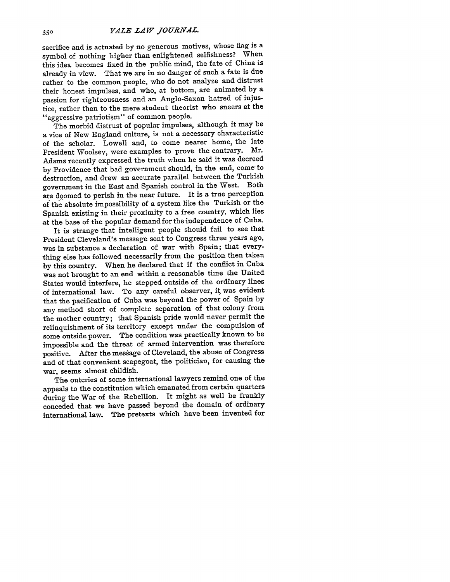sacrifice and is actuated by no generous motives, whose flag is a symbol of nothing higher than enlightened selfishness? When this idea becomes fixed in the public mind, the fate of China is already in view. That we are in no danger of such a fate is due rather to the common people, who do not analyze and distrust their honest impulses, and who, at bottom, are animated by a passion for righteousness and an Anglo-Saxon hatred of injustice, rather than to the mere student theorist who sneers at the "aggressive patriotism" of common people.

The morbid distrust of popular impulses, although it may be a vice of New England culture, is not a necessary characteristic of the scholar. Lowell and, to come nearer home, the late President Woolsey, were examples to prove the contrary. Mr. Adams recently expressed the truth when he said it was decreed by Providence that bad government should, in the end, come to destruction, and drew an accurate parallel between the Turkish government in the East and Spanish control in the West. Both are doomed to perish in the near future. It is a true perception of the absolute impossibility of a system like the Turkish or the Spanish existing in their proximity to a free country, which lies at the base of the popular demand for the independence of Cuba.

It is strange that intelligent people should fail to see that President Cleveland's message sent to Congress three years ago, was in substance a declaration of war with Spain; that everything else has followed necessarily from the position then taken by this country. When he declared that if the conflict in Cuba was not brought to an end within a reasonable time the United States would interfere, he stepped outside of the ordinary lines of international law. To any careful observer, it was evident that the pacification of Cuba was beyond the power of Spain by any method short of complete separation of that colony from the mother country; that Spanish pride would never permit the relinquishment of its territory except under the compulsion of some outside power. The condition was practically known to be impossible and the threat of armed intervention was therefore positive. After the message of Cleveland, the abuse of Congress and of that convenient scapegoat, the politician, for causing the war, seems almost childish.

The outcries of some international lawyers remind one of the appeals to the constitution which emanated from certain quarters during the War of the Rebellion. It might as well be frankly conceded that we have passed beyond the domain of ordinary international law. The pretexts which have been invented for